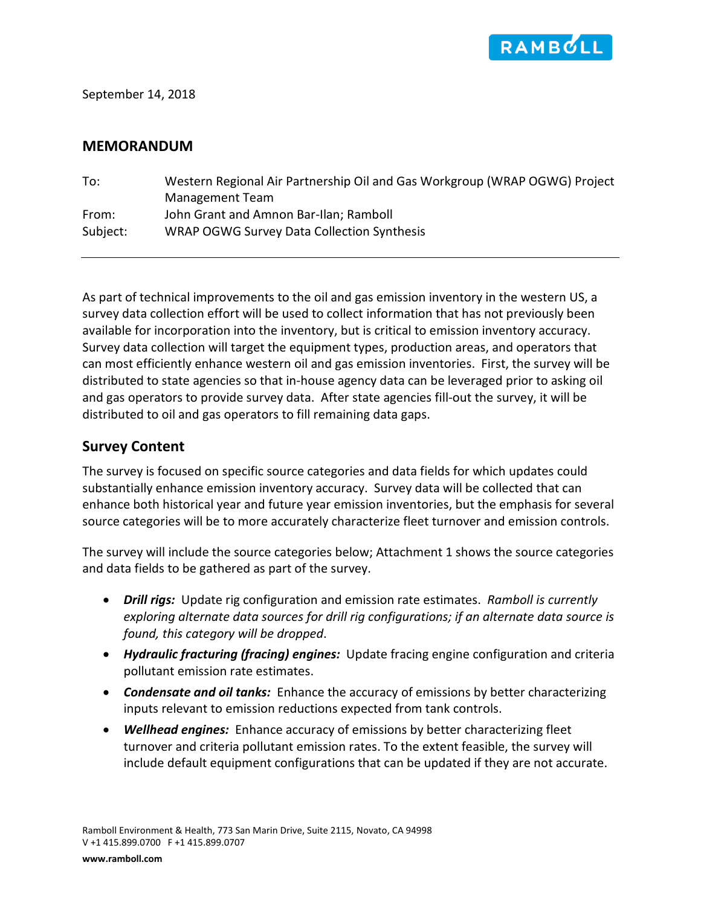

September 14, 2018

#### **MEMORANDUM**

| To:      | Western Regional Air Partnership Oil and Gas Workgroup (WRAP OGWG) Project |
|----------|----------------------------------------------------------------------------|
|          | Management Team                                                            |
| From:    | John Grant and Amnon Bar-Ilan; Ramboll                                     |
| Subject: | WRAP OGWG Survey Data Collection Synthesis                                 |

As part of technical improvements to the oil and gas emission inventory in the western US, a survey data collection effort will be used to collect information that has not previously been available for incorporation into the inventory, but is critical to emission inventory accuracy. Survey data collection will target the equipment types, production areas, and operators that can most efficiently enhance western oil and gas emission inventories. First, the survey will be distributed to state agencies so that in-house agency data can be leveraged prior to asking oil and gas operators to provide survey data. After state agencies fill-out the survey, it will be distributed to oil and gas operators to fill remaining data gaps.

### **Survey Content**

The survey is focused on specific source categories and data fields for which updates could substantially enhance emission inventory accuracy. Survey data will be collected that can enhance both historical year and future year emission inventories, but the emphasis for several source categories will be to more accurately characterize fleet turnover and emission controls.

The survey will include the source categories below; Attachment 1 shows the source categories and data fields to be gathered as part of the survey.

- *Drill rigs:* Update rig configuration and emission rate estimates. *Ramboll is currently exploring alternate data sources for drill rig configurations; if an alternate data source is found, this category will be dropped*.
- *Hydraulic fracturing (fracing) engines:* Update fracing engine configuration and criteria pollutant emission rate estimates.
- *Condensate and oil tanks:* Enhance the accuracy of emissions by better characterizing inputs relevant to emission reductions expected from tank controls.
- *Wellhead engines:* Enhance accuracy of emissions by better characterizing fleet turnover and criteria pollutant emission rates. To the extent feasible, the survey will include default equipment configurations that can be updated if they are not accurate.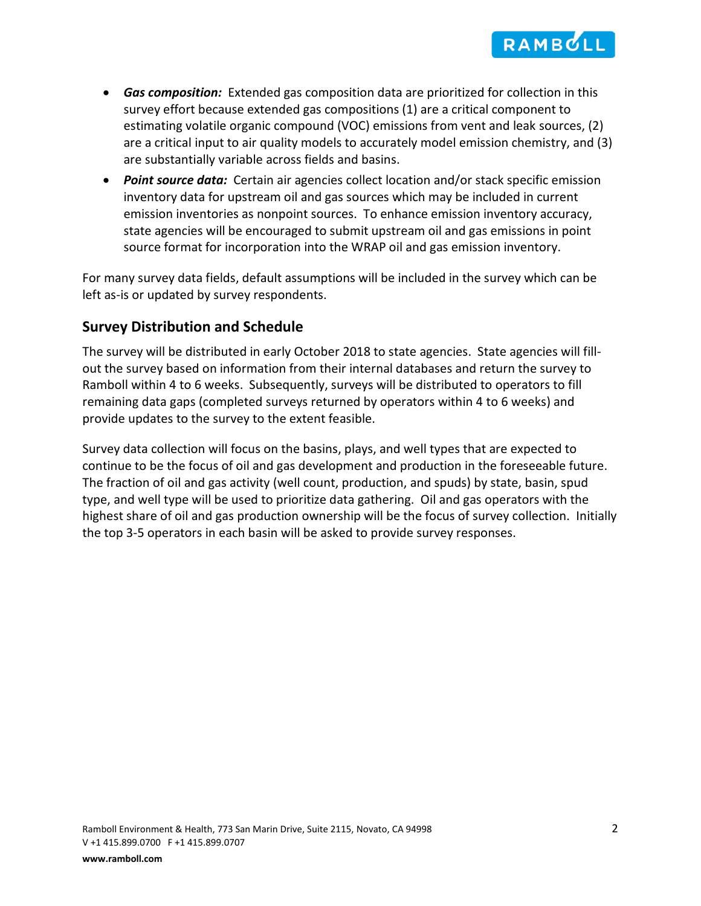

- *Gas composition:* Extended gas composition data are prioritized for collection in this survey effort because extended gas compositions (1) are a critical component to estimating volatile organic compound (VOC) emissions from vent and leak sources, (2) are a critical input to air quality models to accurately model emission chemistry, and (3) are substantially variable across fields and basins.
- *Point source data:* Certain air agencies collect location and/or stack specific emission inventory data for upstream oil and gas sources which may be included in current emission inventories as nonpoint sources. To enhance emission inventory accuracy, state agencies will be encouraged to submit upstream oil and gas emissions in point source format for incorporation into the WRAP oil and gas emission inventory.

For many survey data fields, default assumptions will be included in the survey which can be left as-is or updated by survey respondents.

#### **Survey Distribution and Schedule**

The survey will be distributed in early October 2018 to state agencies. State agencies will fillout the survey based on information from their internal databases and return the survey to Ramboll within 4 to 6 weeks. Subsequently, surveys will be distributed to operators to fill remaining data gaps (completed surveys returned by operators within 4 to 6 weeks) and provide updates to the survey to the extent feasible.

Survey data collection will focus on the basins, plays, and well types that are expected to continue to be the focus of oil and gas development and production in the foreseeable future. The fraction of oil and gas activity (well count, production, and spuds) by state, basin, spud type, and well type will be used to prioritize data gathering. Oil and gas operators with the highest share of oil and gas production ownership will be the focus of survey collection. Initially the top 3-5 operators in each basin will be asked to provide survey responses.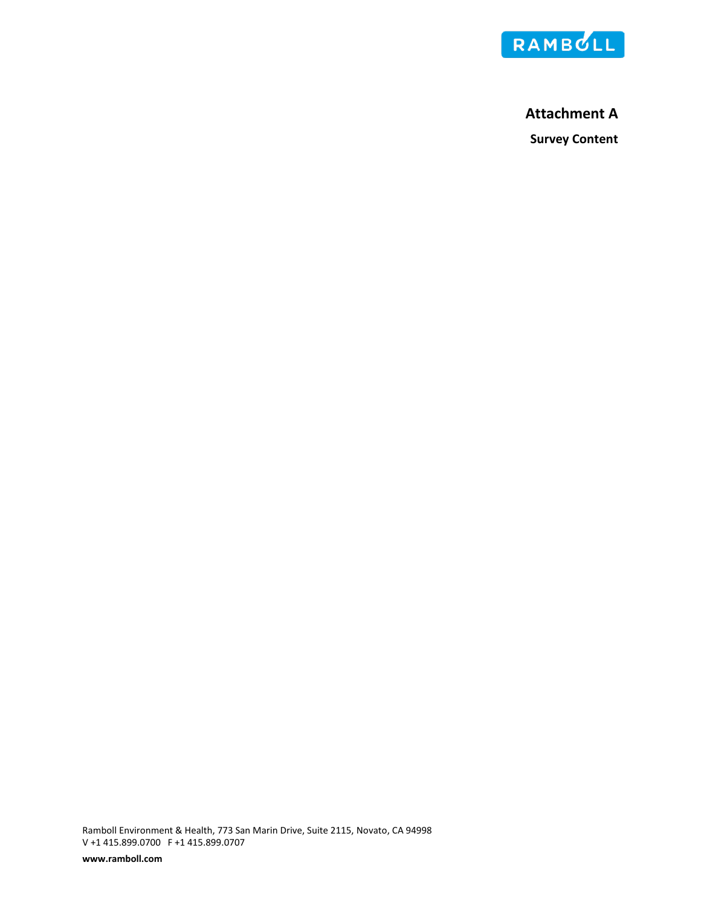

# **Attachment A Survey Content**